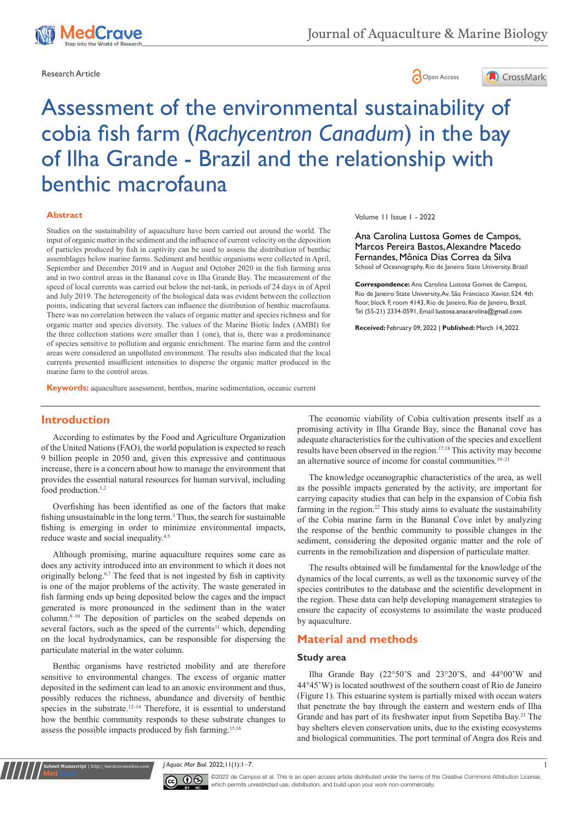



# Assessment of the environmental sustainability of cobia fish farm (*Rachycentron Canadum*) in the bay of Ilha Grande - Brazil and the relationship with benthic macrofauna

#### **Abstract**

Studies on the sustainability of aquaculture have been carried out around the world. The input of organic matter in the sediment and the influence of current velocity on the deposition of particles produced by fish in captivity can be used to assess the distribution of benthic assemblages below marine farms. Sediment and benthic organisms were collected in April, September and December 2019 and in August and October 2020 in the fish farming area and in two control areas in the Bananal cove in Ilha Grande Bay. The measurement of the speed of local currents was carried out below the net-tank, in periods of 24 days in of April and July 2019. The heterogeneity of the biological data was evident between the collection points, indicating that several factors can influence the distribution of benthic macrofauna. There was no correlation between the values of organic matter and species richness and for organic matter and species diversity. The values of the Marine Biotic Index (AMBI) for the three collection stations were smaller than 1 (one), that is, there was a predominance of species sensitive to pollution and organic enrichment. The marine farm and the control areas were considered an unpolluted environment. The results also indicated that the local currents presented insufficient intensities to disperse the organic matter produced in the marine farm to the control areas.

Volume 11 Issue 1 - 2022

Ana Carolina Lustosa Gomes de Campos, Marcos Pereira Bastos, Alexandre Macedo Fernandes, Mônica Dias Correa da Silva School of Oceanography, Rio de Janeiro State University, Brazil

**Correspondence:** Ana Carolina Lustosa Gomes de Campos, Rio de Janeiro State University, Av. São Francisco Xavier, 524. 4th floor, block F, room 4143, Rio de Janeiro, Rio de Janeiro, Brazil, Tel (55-21) 2334-0591, Email lustosa, anacarolina@gmail.com

**Received:** February 09, 2022 | **Published:** March 14, 2022

**Keywords:** aquaculture assessment, benthos, marine sedimentation, oceanic current

# **Introduction**

According to estimates by the Food and Agriculture Organization of the United Nations (FAO), the world population is expected to reach 9 billion people in 2050 and, given this expressive and continuous increase, there is a concern about how to manage the environment that provides the essential natural resources for human survival, including food production.<sup>1,2</sup>

Overfishing has been identified as one of the factors that make fishing unsustainable in the long term.<sup>3</sup> Thus, the search for sustainable fishing is emerging in order to minimize environmental impacts, reduce waste and social inequality.4,5

Although promising, marine aquaculture requires some care as does any activity introduced into an environment to which it does not originally belong.6,7 The feed that is not ingested by fish in captivity is one of the major problems of the activity. The waste generated in fish farming ends up being deposited below the cages and the impact generated is more pronounced in the sediment than in the water column. $8-10$  The deposition of particles on the seabed depends on several factors, such as the speed of the currents<sup>11</sup> which, depending on the local hydrodynamics, can be responsible for dispersing the particulate material in the water column.

Benthic organisms have restricted mobility and are therefore sensitive to environmental changes. The excess of organic matter deposited in the sediment can lead to an anoxic environment and thus, possibly reduces the richness, abundance and diversity of benthic species in the substrate.<sup>12-14</sup> Therefore, it is essential to understand how the benthic community responds to these substrate changes to assess the possible impacts produced by fish farming.15,16

**Krit Manuscript** | http://medcraveonline.c

The economic viability of Cobia cultivation presents itself as a promising activity in Ilha Grande Bay, since the Bananal cove has adequate characteristics for the cultivation of the species and excellent results have been observed in the region.17,18 This activity may become an alternative source of income for coastal communities.<sup>19-21</sup>

The knowledge oceanographic characteristics of the area, as well as the possible impacts generated by the activity, are important for carrying capacity studies that can help in the expansion of Cobia fish farming in the region.<sup>22</sup> This study aims to evaluate the sustainability of the Cobia marine farm in the Bananal Cove inlet by analyzing the response of the benthic community to possible changes in the sediment, considering the deposited organic matter and the role of currents in the remobilization and dispersion of particulate matter.

The results obtained will be fundamental for the knowledge of the dynamics of the local currents, as well as the taxonomic survey of the species contributes to the database and the scientific development in the region. These data can help developing management strategies to ensure the capacity of ecosystems to assimilate the waste produced by aquaculture.

# **Material and methods**

#### **Study area**

Ilha Grande Bay (22°50'S and 23°20'S, and 44°00'W and 44°45'W) is located southwest of the southern coast of Rio de Janeiro (Figure 1). This estuarine system is partially mixed with ocean waters that penetrate the bay through the eastern and western ends of Ilha Grande and has part of its freshwater input from Sepetiba Bay.<sup>23</sup> The bay shelters eleven conservation units, due to the existing ecosystems and biological communities. The port terminal of Angra dos Reis and

*J Aquac Mar Biol.* 2022;11(1):1‒7. 1



©2022 de Campos et al. This is an open access article distributed under the terms of the Creative Commons Attribution License, which permits unrestricted use, distribution, and build upon your work non-commercially.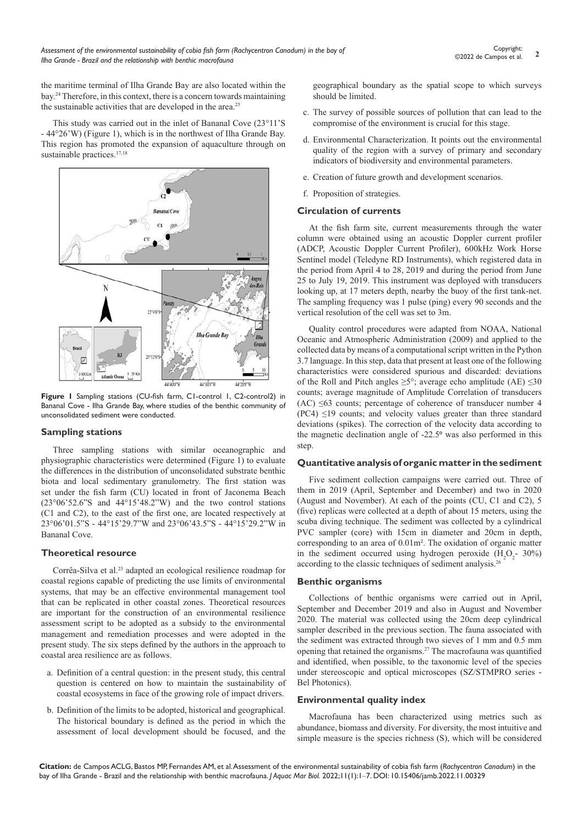the maritime terminal of Ilha Grande Bay are also located within the bay.24 Therefore, in this context, there is a concern towards maintaining the sustainable activities that are developed in the area.<sup>25</sup>

This study was carried out in the inlet of Bananal Cove (23°11'S - 44°26'W) (Figure 1), which is in the northwest of Ilha Grande Bay. This region has promoted the expansion of aquaculture through on sustainable practices.<sup>17,18</sup>



**Figure 1** Sampling stations (CU-fish farm, C1-control 1, C2-control2) in Bananal Cove - Ilha Grande Bay, where studies of the benthic community of unconsolidated sediment were conducted.

#### **Sampling stations**

Three sampling stations with similar oceanographic and physiographic characteristics were determined (Figure 1) to evaluate the differences in the distribution of unconsolidated substrate benthic biota and local sedimentary granulometry. The first station was set under the fish farm (CU) located in front of Jaconema Beach (23°06'52.6"S and 44°15'48.2"W) and the two control stations (C1 and C2), to the east of the first one, are located respectively at 23°06'01.5"S - 44°15'29.7"W and 23°06'43.5"S - 44°15'29.2"W in Bananal Cove.

# **Theoretical resource**

Corrêa-Silva et al.<sup>23</sup> adapted an ecological resilience roadmap for coastal regions capable of predicting the use limits of environmental systems, that may be an effective environmental management tool that can be replicated in other coastal zones. Theoretical resources are important for the construction of an environmental resilience assessment script to be adopted as a subsidy to the environmental management and remediation processes and were adopted in the present study. The six steps defined by the authors in the approach to coastal area resilience are as follows.

- a. Definition of a central question: in the present study, this central question is centered on how to maintain the sustainability of coastal ecosystems in face of the growing role of impact drivers.
- b. Definition of the limits to be adopted, historical and geographical. The historical boundary is defined as the period in which the assessment of local development should be focused, and the

geographical boundary as the spatial scope to which surveys should be limited.

- c. The survey of possible sources of pollution that can lead to the compromise of the environment is crucial for this stage.
- d. Environmental Characterization. It points out the environmental quality of the region with a survey of primary and secondary indicators of biodiversity and environmental parameters.
- e. Creation of future growth and development scenarios.
- f. Proposition of strategies.

### **Circulation of currents**

At the fish farm site, current measurements through the water column were obtained using an acoustic Doppler current profiler (ADCP, Acoustic Doppler Current Profiler), 600kHz Work Horse Sentinel model (Teledyne RD Instruments), which registered data in the period from April 4 to 28, 2019 and during the period from June 25 to July 19, 2019. This instrument was deployed with transducers looking up, at 17 meters depth, nearby the buoy of the first tank-net. The sampling frequency was 1 pulse (ping) every 90 seconds and the vertical resolution of the cell was set to 3m.

Quality control procedures were adapted from NOAA, National Oceanic and Atmospheric Administration (2009) and applied to the collected data by means of a computational script written in the Python 3.7 language. In this step, data that present at least one of the following characteristics were considered spurious and discarded: deviations of the Roll and Pitch angles  $\geq 5^\circ$ ; average echo amplitude (AE)  $\leq 30$ counts; average magnitude of Amplitude Correlation of transducers  $(AC) \leq 63$  counts; percentage of coherence of transducer number 4  $(PC4) \leq 19$  counts; and velocity values greater than three standard deviations (spikes). The correction of the velocity data according to the magnetic declination angle of  $-22.5^\circ$  was also performed in this step.

#### **Quantitative analysis of organic matter in the sediment**

Five sediment collection campaigns were carried out. Three of them in 2019 (April, September and December) and two in 2020 (August and November). At each of the points (CU, C1 and C2), 5 (five) replicas were collected at a depth of about 15 meters, using the scuba diving technique. The sediment was collected by a cylindrical PVC sampler (core) with 15cm in diameter and 20cm in depth, corresponding to an area of 0.01m². The oxidation of organic matter in the sediment occurred using hydrogen peroxide  $(H_2O_2 - 30\%)$ according to the classic techniques of sediment analysis.26

#### **Benthic organisms**

Collections of benthic organisms were carried out in April, September and December 2019 and also in August and November 2020. The material was collected using the 20cm deep cylindrical sampler described in the previous section. The fauna associated with the sediment was extracted through two sieves of 1 mm and 0.5 mm opening that retained the organisms.27 The macrofauna was quantified and identified, when possible, to the taxonomic level of the species under stereoscopic and optical microscopes (SZ/STMPRO series - Bel Photonics).

#### **Environmental quality index**

Macrofauna has been characterized using metrics such as abundance, biomass and diversity. For diversity, the most intuitive and simple measure is the species richness (S), which will be considered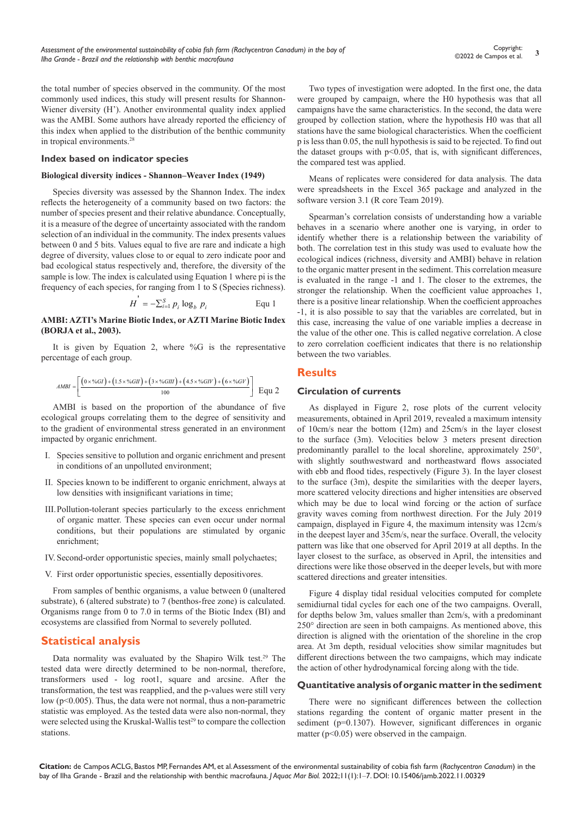**<sup>3</sup>** Copyright: ©2022 de Campos et al.

the total number of species observed in the community. Of the most commonly used indices, this study will present results for Shannon-Wiener diversity (H'). Another environmental quality index applied was the AMBI. Some authors have already reported the efficiency of this index when applied to the distribution of the benthic community in tropical environments.<sup>28</sup>

#### **Index based on indicator species**

#### **Biological diversity indices - Shannon–Weaver Index (1949)**

Species diversity was assessed by the Shannon Index. The index reflects the heterogeneity of a community based on two factors: the number of species present and their relative abundance. Conceptually, it is a measure of the degree of uncertainty associated with the random selection of an individual in the community. The index presents values between 0 and 5 bits. Values equal to five are rare and indicate a high degree of diversity, values close to or equal to zero indicate poor and bad ecological status respectively and, therefore, the diversity of the sample is low. The index is calculated using Equation 1 where pi is the frequency of each species, for ranging from 1 to S (Species richness).

$$
H = -\sum_{i=1}^{S} p_i \log_b p_i
$$
 Equ 1

#### **AMBI: AZTI's Marine Biotic Index, or AZTI Marine Biotic Index (BORJA et al., 2003).**

'

It is given by Equation 2, where %G is the representative percentage of each group.

$$
AMBI = \left[ \frac{(0 \times \%GI) + (1.5 \times \%GII) + (3 \times \%GII) + (4.5 \times \%GIV) + (6 \times \%GIV)}{100} \right] \quad \text{Equ 2}
$$

AMBI is based on the proportion of the abundance of five ecological groups correlating them to the degree of sensitivity and to the gradient of environmental stress generated in an environment impacted by organic enrichment.

- I. Species sensitive to pollution and organic enrichment and present in conditions of an unpolluted environment;
- II. Species known to be indifferent to organic enrichment, always at low densities with insignificant variations in time;
- III.Pollution-tolerant species particularly to the excess enrichment of organic matter. These species can even occur under normal conditions, but their populations are stimulated by organic enrichment;
- IV. Second-order opportunistic species, mainly small polychaetes;
- V. First order opportunistic species, essentially depositivores.

From samples of benthic organisms, a value between 0 (unaltered substrate), 6 (altered substrate) to 7 (benthos-free zone) is calculated. Organisms range from 0 to 7.0 in terms of the Biotic Index (BI) and ecosystems are classified from Normal to severely polluted.

# **Statistical analysis**

Data normality was evaluated by the Shapiro Wilk test.<sup>29</sup> The tested data were directly determined to be non-normal, therefore, transformers used - log root1, square and arcsine. After the transformation, the test was reapplied, and the p-values were still very low (p<0.005). Thus, the data were not normal, thus a non-parametric statistic was employed. As the tested data were also non-normal, they were selected using the Kruskal-Wallis test<sup>29</sup> to compare the collection stations.

Two types of investigation were adopted. In the first one, the data were grouped by campaign, where the H0 hypothesis was that all campaigns have the same characteristics. In the second, the data were grouped by collection station, where the hypothesis H0 was that all stations have the same biological characteristics. When the coefficient p is less than 0.05, the null hypothesis is said to be rejected. To find out the dataset groups with  $p<0.05$ , that is, with significant differences, the compared test was applied.

Means of replicates were considered for data analysis. The data were spreadsheets in the Excel 365 package and analyzed in the software version 3.1 (R core Team 2019).

Spearman's correlation consists of understanding how a variable behaves in a scenario where another one is varying, in order to identify whether there is a relationship between the variability of both. The correlation test in this study was used to evaluate how the ecological indices (richness, diversity and AMBI) behave in relation to the organic matter present in the sediment. This correlation measure is evaluated in the range -1 and 1. The closer to the extremes, the stronger the relationship. When the coefficient value approaches 1, there is a positive linear relationship. When the coefficient approaches -1, it is also possible to say that the variables are correlated, but in this case, increasing the value of one variable implies a decrease in the value of the other one. This is called negative correlation. A close to zero correlation coefficient indicates that there is no relationship between the two variables.

### **Results**

#### **Circulation of currents**

As displayed in Figure 2, rose plots of the current velocity measurements, obtained in April 2019, revealed a maximum intensity of 10cm/s near the bottom (12m) and 25cm/s in the layer closest to the surface (3m). Velocities below 3 meters present direction predominantly parallel to the local shoreline, approximately 250°, with slightly southwestward and northeastward flows associated with ebb and flood tides, respectively (Figure 3). In the layer closest to the surface (3m), despite the similarities with the deeper layers, more scattered velocity directions and higher intensities are observed which may be due to local wind forcing or the action of surface gravity waves coming from northwest direction. For the July 2019 campaign, displayed in Figure 4, the maximum intensity was 12cm/s in the deepest layer and 35cm/s, near the surface. Overall, the velocity pattern was like that one observed for April 2019 at all depths. In the layer closest to the surface, as observed in April, the intensities and directions were like those observed in the deeper levels, but with more scattered directions and greater intensities.

Figure 4 display tidal residual velocities computed for complete semidiurnal tidal cycles for each one of the two campaigns. Overall, for depths below 3m, values smaller than 2cm/s, with a predominant 250° direction are seen in both campaigns. As mentioned above, this direction is aligned with the orientation of the shoreline in the crop area. At 3m depth, residual velocities show similar magnitudes but different directions between the two campaigns, which may indicate the action of other hydrodynamical forcing along with the tide.

#### **Quantitative analysis of organic matter in the sediment**

There were no significant differences between the collection stations regarding the content of organic matter present in the sediment (p=0.1307). However, significant differences in organic matter (p<0.05) were observed in the campaign.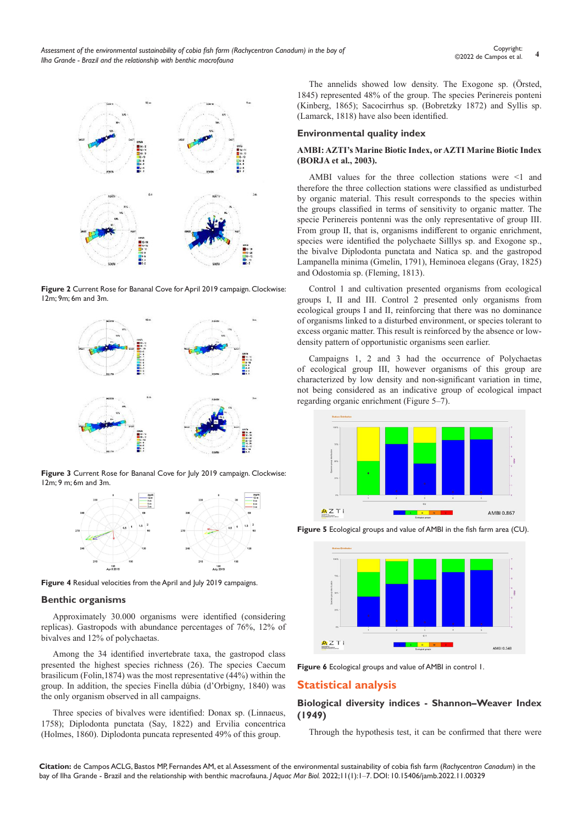

**Figure 2** Current Rose for Bananal Cove for April 2019 campaign. Clockwise: 12m; 9m; 6m and 3m.



**Figure 3** Current Rose for Bananal Cove for July 2019 campaign. Clockwise: 12m; 9 m; 6m and 3m.



**Figure 4** Residual velocities from the April and July 2019 campaigns.

#### **Benthic organisms**

Approximately 30.000 organisms were identified (considering replicas). Gastropods with abundance percentages of 76%, 12% of bivalves and 12% of polychaetas.

Among the 34 identified invertebrate taxa, the gastropod class presented the highest species richness (26). The species Caecum brasilicum (Folin,1874) was the most representative (44%) within the group. In addition, the species Finella dúbia (d'Orbigny, 1840) was the only organism observed in all campaigns.

Three species of bivalves were identified: Donax sp. (Linnaeus, 1758); Diplodonta punctata (Say, 1822) and Ervilia concentrica (Holmes, 1860). Diplodonta puncata represented 49% of this group.

The annelids showed low density. The Exogone sp. (Örsted, 1845) represented 48% of the group. The species Perinereis ponteni (Kinberg, 1865); Sacocirrhus sp. (Bobretzky 1872) and Syllis sp. (Lamarck, 1818) have also been identified.

#### **Environmental quality index**

#### **AMBI: AZTI's Marine Biotic Index, or AZTI Marine Biotic Index (BORJA et al., 2003).**

AMBI values for the three collection stations were <1 and therefore the three collection stations were classified as undisturbed by organic material. This result corresponds to the species within the groups classified in terms of sensitivity to organic matter. The specie Perinereis pontenni was the only representative of group III. From group II, that is, organisms indifferent to organic enrichment, species were identified the polychaete Silllys sp. and Exogone sp., the bivalve Diplodonta punctata and Natica sp. and the gastropod Lampanella minima (Gmelin, 1791), Heminoea elegans (Gray, 1825) and Odostomia sp. (Fleming, 1813).

Control 1 and cultivation presented organisms from ecological groups I, II and III. Control 2 presented only organisms from ecological groups I and II, reinforcing that there was no dominance of organisms linked to a disturbed environment, or species tolerant to excess organic matter. This result is reinforced by the absence or lowdensity pattern of opportunistic organisms seen earlier.

Campaigns 1, 2 and 3 had the occurrence of Polychaetas of ecological group III, however organisms of this group are characterized by low density and non-significant variation in time, not being considered as an indicative group of ecological impact regarding organic enrichment (Figure 5–7).



**Figure 5** Ecological groups and value of AMBI in the fish farm area (CU).



**Figure 6** Ecological groups and value of AMBI in control 1.

# **Statistical analysis**

#### **Biological diversity indices - Shannon–Weaver Index (1949)**

Through the hypothesis test, it can be confirmed that there were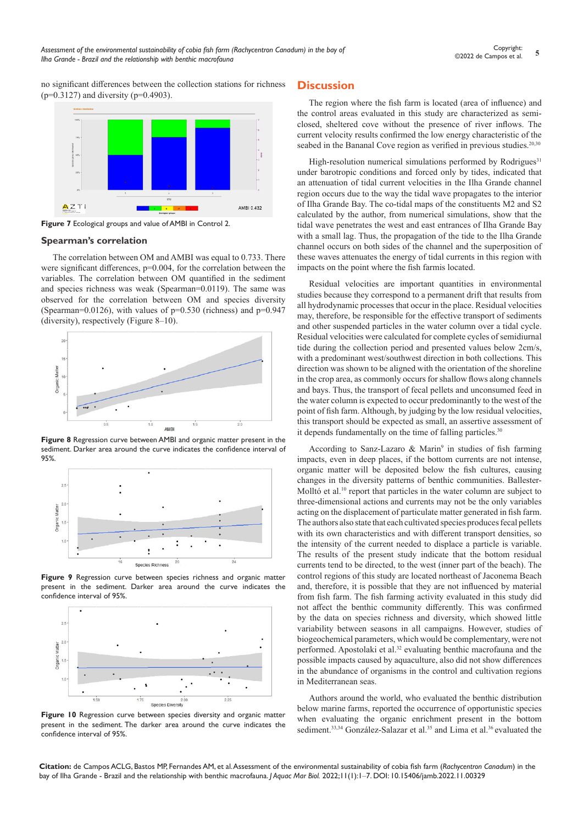no significant differences between the collection stations for richness  $(p=0.3127)$  and diversity ( $p=0.4903$ ).



**Figure 7** Ecological groups and value of AMBI in Control 2.

#### **Spearman's correlation**

The correlation between OM and AMBI was equal to 0.733. There were significant differences,  $p=0.004$ , for the correlation between the variables. The correlation between OM quantified in the sediment and species richness was weak (Spearman=0.0119). The same was observed for the correlation between OM and species diversity (Spearman=0.0126), with values of  $p=0.530$  (richness) and  $p=0.947$ (diversity), respectively (Figure 8–10).



**Figure 8** Regression curve between AMBI and organic matter present in the sediment. Darker area around the curve indicates the confidence interval of 95%.



**Figure 9** Regression curve between species richness and organic matter present in the sediment. Darker area around the curve indicates the confidence interval of 95%.



**Figure 10** Regression curve between species diversity and organic matter present in the sediment. The darker area around the curve indicates the confidence interval of 95%.

# **Discussion**

The region where the fish farm is located (area of influence) and the control areas evaluated in this study are characterized as semiclosed, sheltered cove without the presence of river inflows. The current velocity results confirmed the low energy characteristic of the seabed in the Bananal Cove region as verified in previous studies.<sup>20,30</sup>

High-resolution numerical simulations performed by Rodrigues $31$ under barotropic conditions and forced only by tides, indicated that an attenuation of tidal current velocities in the Ilha Grande channel region occurs due to the way the tidal wave propagates to the interior of Ilha Grande Bay. The co-tidal maps of the constituents M2 and S2 calculated by the author, from numerical simulations, show that the tidal wave penetrates the west and east entrances of Ilha Grande Bay with a small lag. Thus, the propagation of the tide to the Ilha Grande channel occurs on both sides of the channel and the superposition of these waves attenuates the energy of tidal currents in this region with impacts on the point where the fish farmis located.

Residual velocities are important quantities in environmental studies because they correspond to a permanent drift that results from all hydrodynamic processes that occur in the place. Residual velocities may, therefore, be responsible for the effective transport of sediments and other suspended particles in the water column over a tidal cycle. Residual velocities were calculated for complete cycles of semidiurnal tide during the collection period and presented values below 2cm/s, with a predominant west/southwest direction in both collections. This direction was shown to be aligned with the orientation of the shoreline in the crop area, as commonly occurs for shallow flows along channels and bays. Thus, the transport of fecal pellets and unconsumed feed in the water column is expected to occur predominantly to the west of the point of fish farm. Although, by judging by the low residual velocities, this transport should be expected as small, an assertive assessment of it depends fundamentally on the time of falling particles.<sup>30</sup>

According to Sanz-Lazaro & Marin<sup>9</sup> in studies of fish farming impacts, even in deep places, if the bottom currents are not intense, organic matter will be deposited below the fish cultures, causing changes in the diversity patterns of benthic communities. Ballester-Molltó et al.<sup>10</sup> report that particles in the water column are subject to three-dimensional actions and currents may not be the only variables acting on the displacement of particulate matter generated in fish farm. The authors also state that each cultivated species produces fecal pellets with its own characteristics and with different transport densities, so the intensity of the current needed to displace a particle is variable. The results of the present study indicate that the bottom residual currents tend to be directed, to the west (inner part of the beach). The control regions of this study are located northeast of Jaconema Beach and, therefore, it is possible that they are not influenced by material from fish farm. The fish farming activity evaluated in this study did not affect the benthic community differently. This was confirmed by the data on species richness and diversity, which showed little variability between seasons in all campaigns. However, studies of biogeochemical parameters, which would be complementary, were not performed. Apostolaki et al.<sup>32</sup> evaluating benthic macrofauna and the possible impacts caused by aquaculture, also did not show differences in the abundance of organisms in the control and cultivation regions in Mediterranean seas.

Authors around the world, who evaluated the benthic distribution below marine farms, reported the occurrence of opportunistic species when evaluating the organic enrichment present in the bottom sediment.<sup>33,34</sup> González-Salazar et al.<sup>35</sup> and Lima et al.<sup>36</sup> evaluated the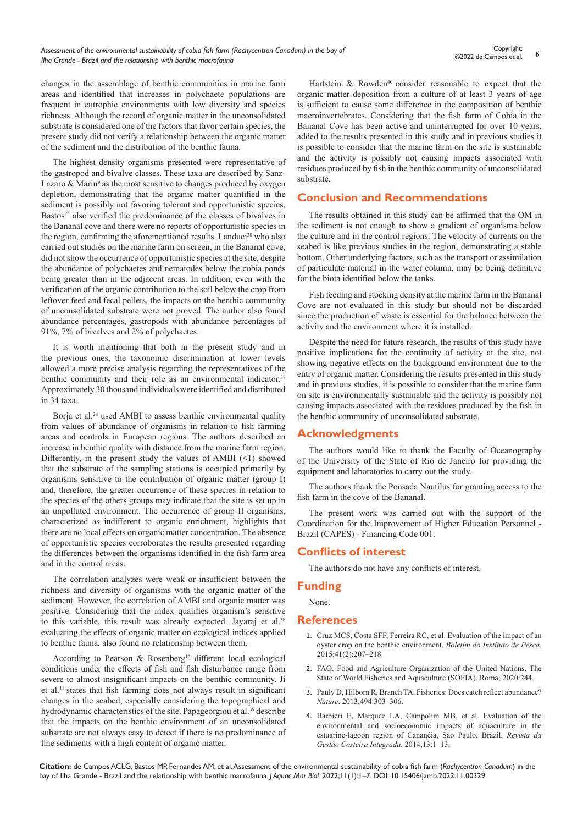changes in the assemblage of benthic communities in marine farm areas and identified that increases in polychaete populations are frequent in eutrophic environments with low diversity and species richness. Although the record of organic matter in the unconsolidated substrate is considered one of the factors that favor certain species, the present study did not verify a relationship between the organic matter of the sediment and the distribution of the benthic fauna.

The highest density organisms presented were representative of the gastropod and bivalve classes. These taxa are described by Sanz-Lazaro & Marin<sup>9</sup> as the most sensitive to changes produced by oxygen depletion, demonstrating that the organic matter quantified in the sediment is possibly not favoring tolerant and opportunistic species. Bastos<sup>25</sup> also verified the predominance of the classes of bivalves in the Bananal cove and there were no reports of opportunistic species in the region, confirming the aforementioned results. Landuci<sup>30</sup> who also carried out studies on the marine farm on screen, in the Bananal cove, did not show the occurrence of opportunistic species at the site, despite the abundance of polychaetes and nematodes below the cobia ponds being greater than in the adjacent areas. In addition, even with the verification of the organic contribution to the soil below the crop from leftover feed and fecal pellets, the impacts on the benthic community of unconsolidated substrate were not proved. The author also found abundance percentages, gastropods with abundance percentages of 91%, 7% of bivalves and 2% of polychaetes.

It is worth mentioning that both in the present study and in the previous ones, the taxonomic discrimination at lower levels allowed a more precise analysis regarding the representatives of the benthic community and their role as an environmental indicator.<sup>37</sup> Approximately 30 thousand individuals were identified and distributed in 34 taxa.

Borja et al.<sup>28</sup> used AMBI to assess benthic environmental quality from values of abundance of organisms in relation to fish farming areas and controls in European regions. The authors described an increase in benthic quality with distance from the marine farm region. Differently, in the present study the values of AMBI  $(\leq 1)$  showed that the substrate of the sampling stations is occupied primarily by organisms sensitive to the contribution of organic matter (group I) and, therefore, the greater occurrence of these species in relation to the species of the others groups may indicate that the site is set up in an unpolluted environment. The occurrence of group II organisms, characterized as indifferent to organic enrichment, highlights that there are no local effects on organic matter concentration. The absence of opportunistic species corroborates the results presented regarding the differences between the organisms identified in the fish farm area and in the control areas.

The correlation analyzes were weak or insufficient between the richness and diversity of organisms with the organic matter of the sediment. However, the correlation of AMBI and organic matter was positive. Considering that the index qualifies organism's sensitive to this variable, this result was already expected. Jayaraj et al.<sup>38</sup> evaluating the effects of organic matter on ecological indices applied to benthic fauna, also found no relationship between them.

According to Pearson & Rosenberg<sup>12</sup> different local ecological conditions under the effects of fish and fish disturbance range from severe to almost insignificant impacts on the benthic community. Ji et al.11 states that fish farming does not always result in significant changes in the seabed, especially considering the topographical and hydrodynamic characteristics of the site. Papageorgiou et al.<sup>39</sup> describe that the impacts on the benthic environment of an unconsolidated substrate are not always easy to detect if there is no predominance of fine sediments with a high content of organic matter.

Hartstein  $\&$  Rowden<sup>40</sup> consider reasonable to expect that the organic matter deposition from a culture of at least 3 years of age is sufficient to cause some difference in the composition of benthic macroinvertebrates. Considering that the fish farm of Cobia in the Bananal Cove has been active and uninterrupted for over 10 years, added to the results presented in this study and in previous studies it is possible to consider that the marine farm on the site is sustainable and the activity is possibly not causing impacts associated with residues produced by fish in the benthic community of unconsolidated substrate.

# **Conclusion and Recommendations**

The results obtained in this study can be affirmed that the OM in the sediment is not enough to show a gradient of organisms below the culture and in the control regions. The velocity of currents on the seabed is like previous studies in the region, demonstrating a stable bottom. Other underlying factors, such as the transport or assimilation of particulate material in the water column, may be being definitive for the biota identified below the tanks.

Fish feeding and stocking density at the marine farm in the Bananal Cove are not evaluated in this study but should not be discarded since the production of waste is essential for the balance between the activity and the environment where it is installed.

Despite the need for future research, the results of this study have positive implications for the continuity of activity at the site, not showing negative effects on the background environment due to the entry of organic matter. Considering the results presented in this study and in previous studies, it is possible to consider that the marine farm on site is environmentally sustainable and the activity is possibly not causing impacts associated with the residues produced by the fish in the benthic community of unconsolidated substrate.

# **Acknowledgments**

The authors would like to thank the Faculty of Oceanography of the University of the State of Rio de Janeiro for providing the equipment and laboratories to carry out the study.

The authors thank the Pousada Nautilus for granting access to the fish farm in the cove of the Bananal.

The present work was carried out with the support of the Coordination for the Improvement of Higher Education Personnel - Brazil (CAPES) - Financing Code 001.

# **Conflicts of interest**

The authors do not have any conflicts of interest.

# **Funding**

None.

#### **References**

- 1. [Cruz MCS, Costa SFF, Ferreira RC, et al. Evaluation of the impact of an](https://www.bvs-vet.org.br/vetindex/periodicos/boletim-do-instituto-de-pesca/41-(2015)-2/avaliacao-do-impacto-de-um-cultivo-de-ostras-sobre-o-ambiente-bentonic/)  [oyster crop on the benthic environment.](https://www.bvs-vet.org.br/vetindex/periodicos/boletim-do-instituto-de-pesca/41-(2015)-2/avaliacao-do-impacto-de-um-cultivo-de-ostras-sobre-o-ambiente-bentonic/) *Boletim do Instituto de Pesca*. [2015;41\(2\):207–218.](https://www.bvs-vet.org.br/vetindex/periodicos/boletim-do-instituto-de-pesca/41-(2015)-2/avaliacao-do-impacto-de-um-cultivo-de-ostras-sobre-o-ambiente-bentonic/)
- 2. [FAO. Food and Agriculture Organization of the United Nations. The](https://www.fao.org/publications/sofia/2020/en/)  [State of World Fisheries and Aquaculture \(SOFIA\). Roma; 2020:244.](https://www.fao.org/publications/sofia/2020/en/)
- 3. [Pauly D, Hilborn R, Branch TA. Fisheries: Does catch reflect abundance?](https://www.nature.com/articles/494303a)  *Nature*[. 2013;494:303–306.](https://www.nature.com/articles/494303a)
- 4. Barbieri E, Marquez LA, Campolim MB, et al. Evaluation of the environmental and socioeconomic impacts of aquaculture in the estuarine-lagoon region of Cananéia, São Paulo, Brazil. *Revista da Gestão Costeira Integrada*. 2014;13:1–13.